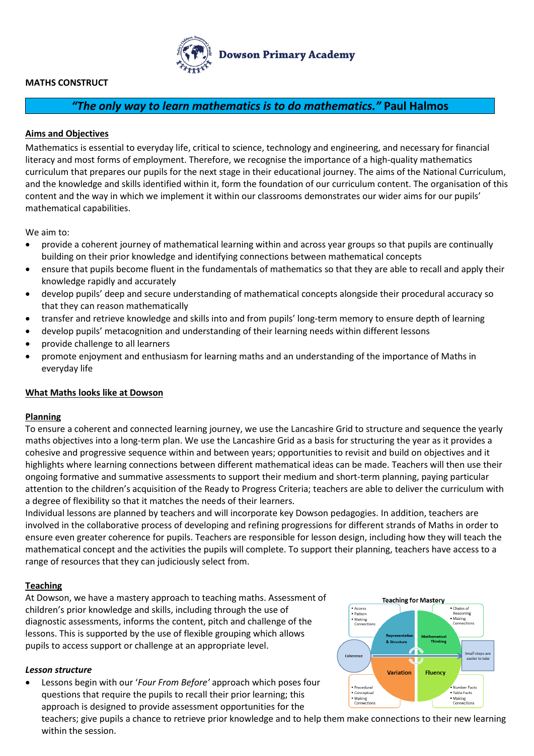

# **MATHS CONSTRUCT**

# *"The only way to learn mathematics is to do mathematics."* **Paul Halmos**

# **Aims and Objectives**

Mathematics is essential to everyday life, critical to science, technology and engineering, and necessary for financial literacy and most forms of employment. Therefore, we recognise the importance of a high-quality mathematics curriculum that prepares our pupils for the next stage in their educational journey. The aims of the National Curriculum, and the knowledge and skills identified within it, form the foundation of our curriculum content. The organisation of this content and the way in which we implement it within our classrooms demonstrates our wider aims for our pupils' mathematical capabilities.

We aim to:

- provide a coherent journey of mathematical learning within and across year groups so that pupils are continually building on their prior knowledge and identifying connections between mathematical concepts
- ensure that pupils become fluent in the fundamentals of mathematics so that they are able to recall and apply their knowledge rapidly and accurately
- develop pupils' deep and secure understanding of mathematical concepts alongside their procedural accuracy so that they can reason mathematically
- transfer and retrieve knowledge and skills into and from pupils' long-term memory to ensure depth of learning
- develop pupils' metacognition and understanding of their learning needs within different lessons
- provide challenge to all learners
- promote enjoyment and enthusiasm for learning maths and an understanding of the importance of Maths in everyday life

# **What Maths looks like at Dowson**

# **Planning**

To ensure a coherent and connected learning journey, we use the Lancashire Grid to structure and sequence the yearly maths objectives into a long-term plan. We use the Lancashire Grid as a basis for structuring the year as it provides a cohesive and progressive sequence within and between years; opportunities to revisit and build on objectives and it highlights where learning connections between different mathematical ideas can be made. Teachers will then use their ongoing formative and summative assessments to support their medium and short-term planning, paying particular attention to the children's acquisition of the Ready to Progress Criteria; teachers are able to deliver the curriculum with a degree of flexibility so that it matches the needs of their learners.

Individual lessons are planned by teachers and will incorporate key Dowson pedagogies. In addition, teachers are involved in the collaborative process of developing and refining progressions for different strands of Maths in order to ensure even greater coherence for pupils. Teachers are responsible for lesson design, including how they will teach the mathematical concept and the activities the pupils will complete. To support their planning, teachers have access to a range of resources that they can judiciously select from.

#### **Teaching**

At Dowson, we have a mastery approach to teaching maths. Assessment of children's prior knowledge and skills, including through the use of diagnostic assessments, informs the content, pitch and challenge of the lessons. This is supported by the use of flexible grouping which allows pupils to access support or challenge at an appropriate level.

#### *Lesson structure*

 Lessons begin with our '*Four From Before'* approach which poses four questions that require the pupils to recall their prior learning; this approach is designed to provide assessment opportunities for the



teachers; give pupils a chance to retrieve prior knowledge and to help them make connections to their new learning within the session.